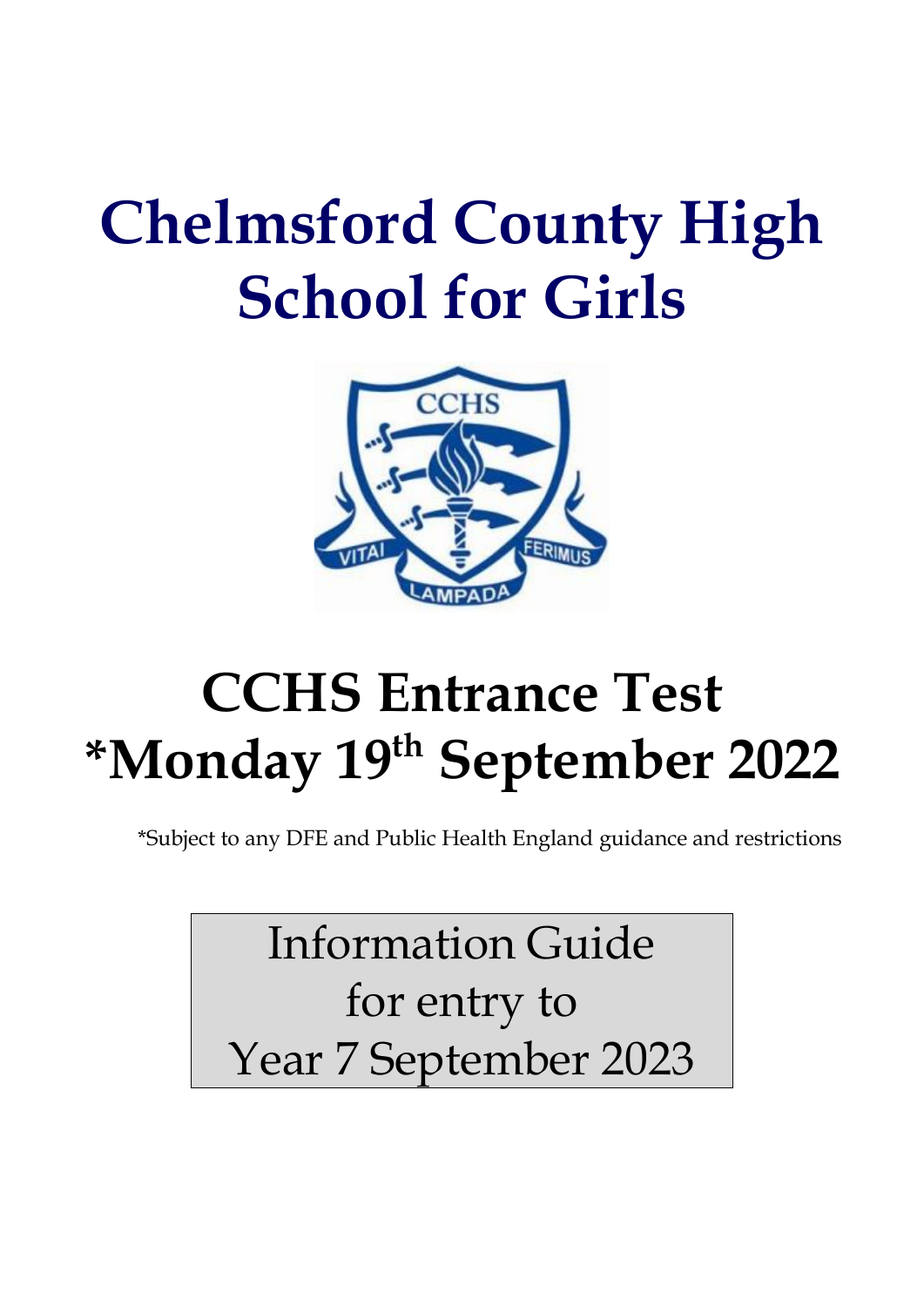# **Chelmsford County High School for Girls**



# **CCHS Entrance Test \*Monday 19th September 2022**

\*Subject to any DFE and Public Health England guidance and restrictions

Information Guide for entry to Year 7 September 2023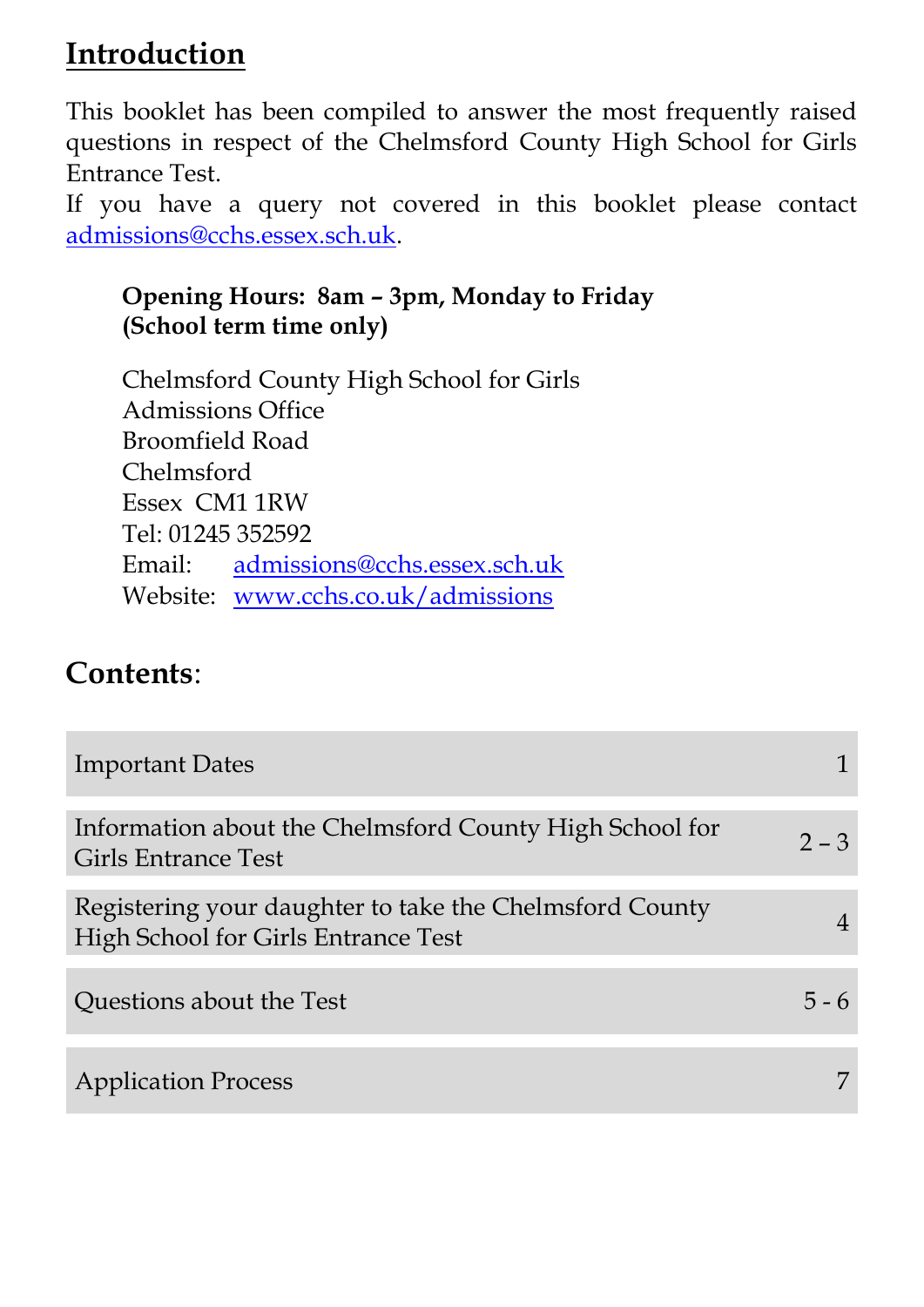# **Introduction**

This booklet has been compiled to answer the most frequently raised questions in respect of the Chelmsford County High School for Girls Entrance Test.

If you have a query not covered in this booklet please contact [admissions@cchs.essex.sch.uk.](mailto:admissions@cchs.essex.sch.uk)

## **Opening Hours: 8am – 3pm, Monday to Friday (School term time only)**

Chelmsford County High School for Girls Admissions Office Broomfield Road Chelmsford Essex CM1 1RW Tel: 01245 352592 Email: [admissions@cchs.essex.sch.uk](mailto:admissions@cchs.essex.sch.uk) Website: [www.cchs.co.uk/admissions](http://www.cchs.co.uk/admissions)

# **Contents**:

| <b>Important Dates</b>                                                                                |         |
|-------------------------------------------------------------------------------------------------------|---------|
| Information about the Chelmsford County High School for<br>Girls Entrance Test                        | $2 - 3$ |
| Registering your daughter to take the Chelmsford County<br><b>High School for Girls Entrance Test</b> |         |
| Questions about the Test                                                                              |         |
| <b>Application Process</b>                                                                            |         |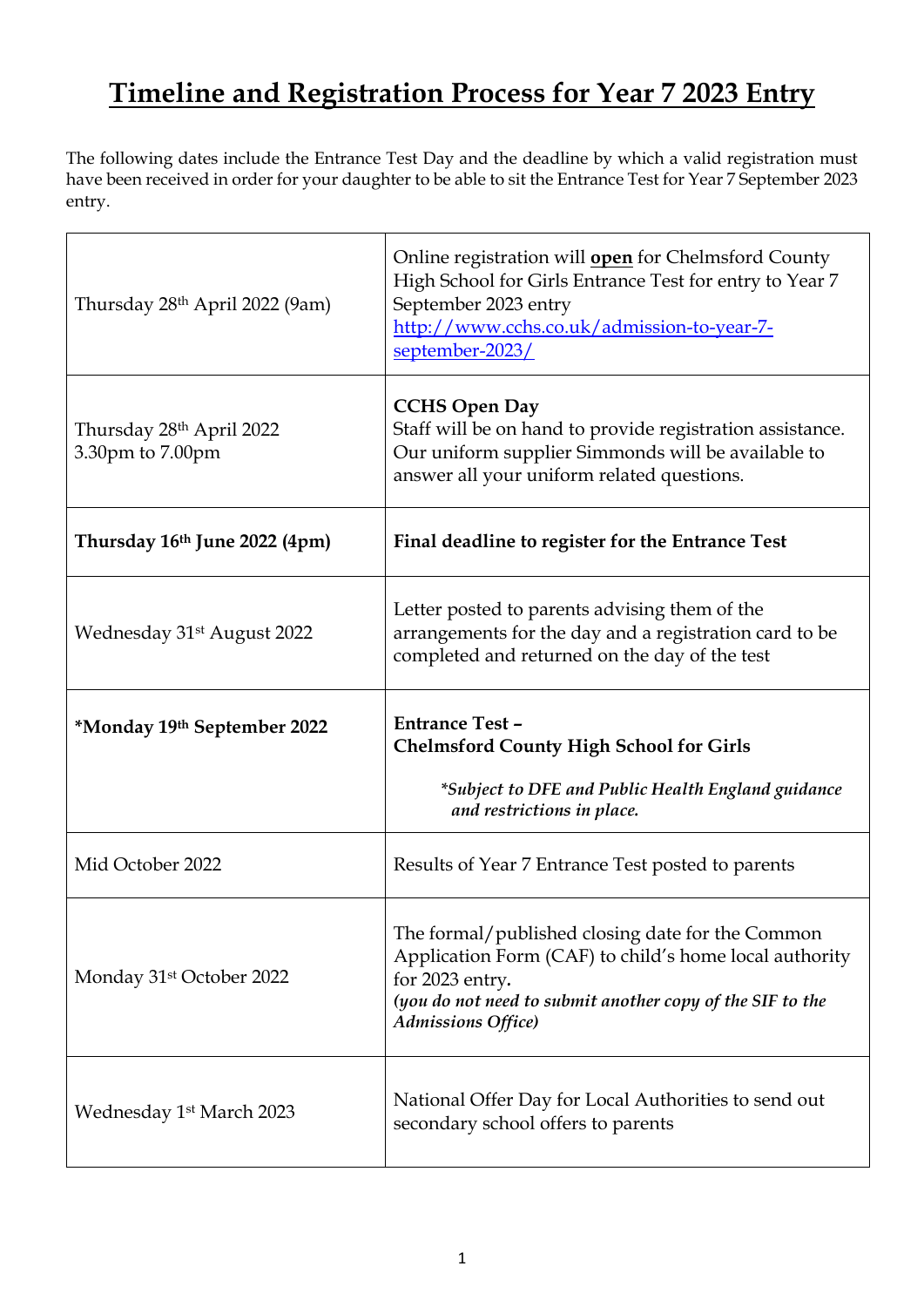# **Timeline and Registration Process for Year 7 2023 Entry**

The following dates include the Entrance Test Day and the deadline by which a valid registration must have been received in order for your daughter to be able to sit the Entrance Test for Year 7 September 2023 entry.

| Thursday 28 <sup>th</sup> April 2022 (9am)               | Online registration will open for Chelmsford County<br>High School for Girls Entrance Test for entry to Year 7<br>September 2023 entry<br>http://www.cchs.co.uk/admission-to-year-7-<br>september-2023/                  |
|----------------------------------------------------------|--------------------------------------------------------------------------------------------------------------------------------------------------------------------------------------------------------------------------|
| Thursday 28 <sup>th</sup> April 2022<br>3.30pm to 7.00pm | <b>CCHS Open Day</b><br>Staff will be on hand to provide registration assistance.<br>Our uniform supplier Simmonds will be available to<br>answer all your uniform related questions.                                    |
| Thursday 16th June 2022 (4pm)                            | Final deadline to register for the Entrance Test                                                                                                                                                                         |
| Wednesday 31 <sup>st</sup> August 2022                   | Letter posted to parents advising them of the<br>arrangements for the day and a registration card to be<br>completed and returned on the day of the test                                                                 |
|                                                          |                                                                                                                                                                                                                          |
| *Monday 19th September 2022                              | <b>Entrance Test -</b><br><b>Chelmsford County High School for Girls</b><br>*Subject to DFE and Public Health England guidance                                                                                           |
|                                                          | and restrictions in place.                                                                                                                                                                                               |
| Mid October 2022                                         | Results of Year 7 Entrance Test posted to parents                                                                                                                                                                        |
| Monday 31 <sup>st</sup> October 2022                     | The formal/published closing date for the Common<br>Application Form (CAF) to child's home local authority<br>for 2023 entry.<br>(you do not need to submit another copy of the SIF to the<br><b>Admissions Office</b> ) |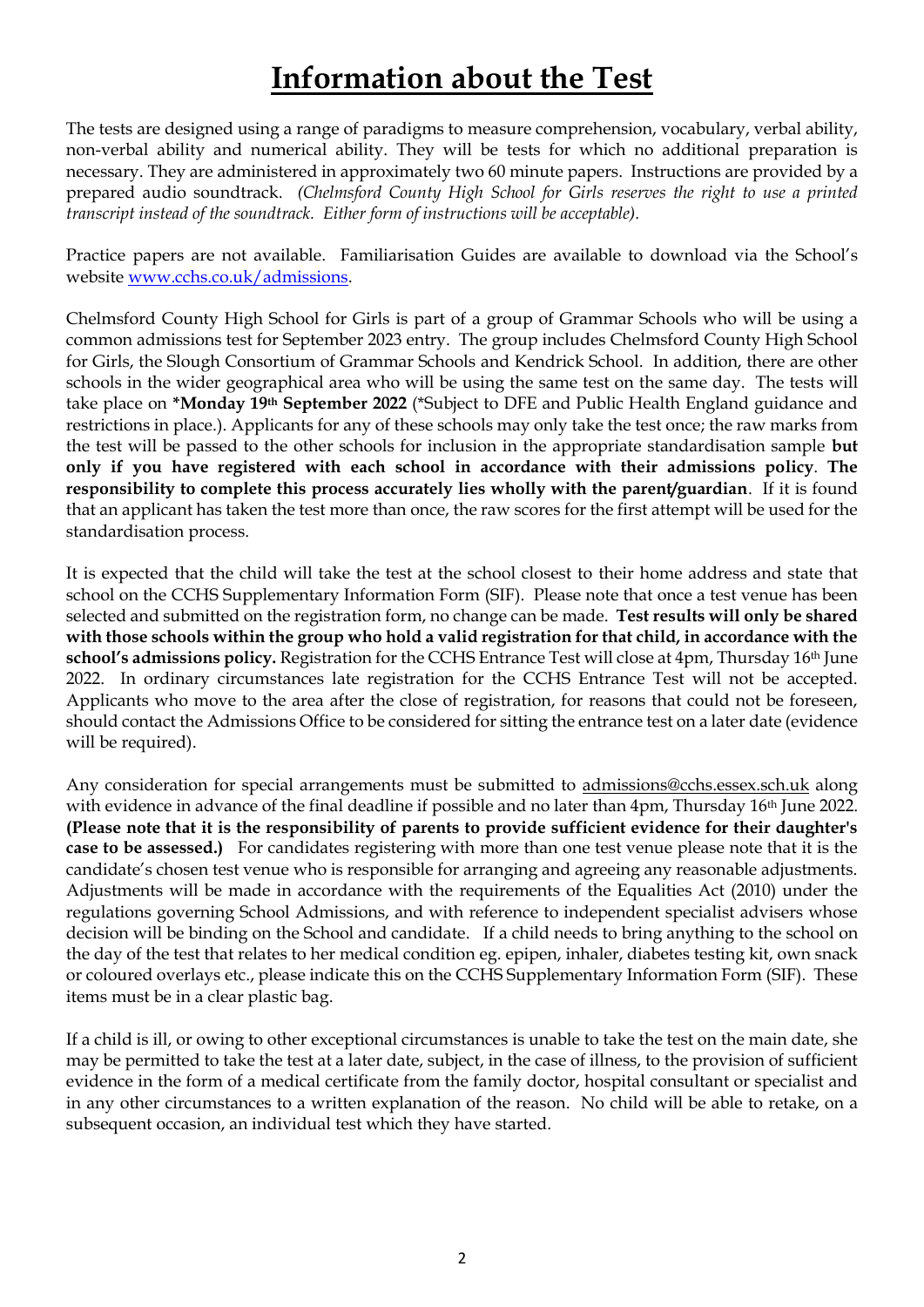# **Information about the Test**

The tests are designed using a range of paradigms to measure comprehension, vocabulary, verbal ability, non-verbal ability and numerical ability. They will be tests for which no additional preparation is necessary. They are administered in approximately two 60 minute papers. Instructions are provided by a prepared audio soundtrack. *(Chelmsford County High School for Girls reserves the right to use a printed transcript instead of the soundtrack. Either form of instructions will be acceptable).*

Practice papers are not available. Familiarisation Guides are available to download via the School's website [www.cchs.co.uk/admissions](http://www.cchs.co.uk/admissions).

Chelmsford County High School for Girls is part of a group of Grammar Schools who will be using a common admissions test for September 2023 entry. The group includes Chelmsford County High School for Girls, the Slough Consortium of Grammar Schools and Kendrick School. In addition, there are other schools in the wider geographical area who will be using the same test on the same day. The tests will take place on **\*Monday 19th September 2022** (\*Subject to DFE and Public Health England guidance and restrictions in place.). Applicants for any of these schools may only take the test once; the raw marks from the test will be passed to the other schools for inclusion in the appropriate standardisation sample **but only if you have registered with each school in accordance with their admissions policy**. **The responsibility to complete this process accurately lies wholly with the parent/guardian**. If it is found that an applicant has taken the test more than once, the raw scores for the first attempt will be used for the standardisation process.

It is expected that the child will take the test at the school closest to their home address and state that school on the CCHS Supplementary Information Form (SIF). Please note that once a test venue has been selected and submitted on the registration form, no change can be made. **Test results will only be shared with those schools within the group who hold a valid registration for that child, in accordance with the school's admissions policy.** Registration for the CCHS Entrance Test will close at 4pm, Thursday 16th June 2022. In ordinary circumstances late registration for the CCHS Entrance Test will not be accepted. Applicants who move to the area after the close of registration, for reasons that could not be foreseen, should contact the Admissions Office to be considered for sitting the entrance test on a later date (evidence will be required).

Any consideration for special arrangements must be submitted to [admissions@cchs.essex.sch.uk](mailto:admissions@cchs.essex.sch.uk) along with evidence in advance of the final deadline if possible and no later than 4pm, Thursday 16th June 2022. **(Please note that it is the responsibility of parents to provide sufficient evidence for their daughter's case to be assessed.)** For candidates registering with more than one test venue please note that it is the candidate's chosen test venue who is responsible for arranging and agreeing any reasonable adjustments. Adjustments will be made in accordance with the requirements of the Equalities Act (2010) under the regulations governing School Admissions, and with reference to independent specialist advisers whose decision will be binding on the School and candidate. If a child needs to bring anything to the school on the day of the test that relates to her medical condition eg. epipen, inhaler, diabetes testing kit, own snack or coloured overlays etc., please indicate this on the CCHS Supplementary Information Form (SIF). These items must be in a clear plastic bag.

If a child is ill, or owing to other exceptional circumstances is unable to take the test on the main date, she may be permitted to take the test at a later date, subject, in the case of illness, to the provision of sufficient evidence in the form of a medical certificate from the family doctor, hospital consultant or specialist and in any other circumstances to a written explanation of the reason. No child will be able to retake, on a subsequent occasion, an individual test which they have started.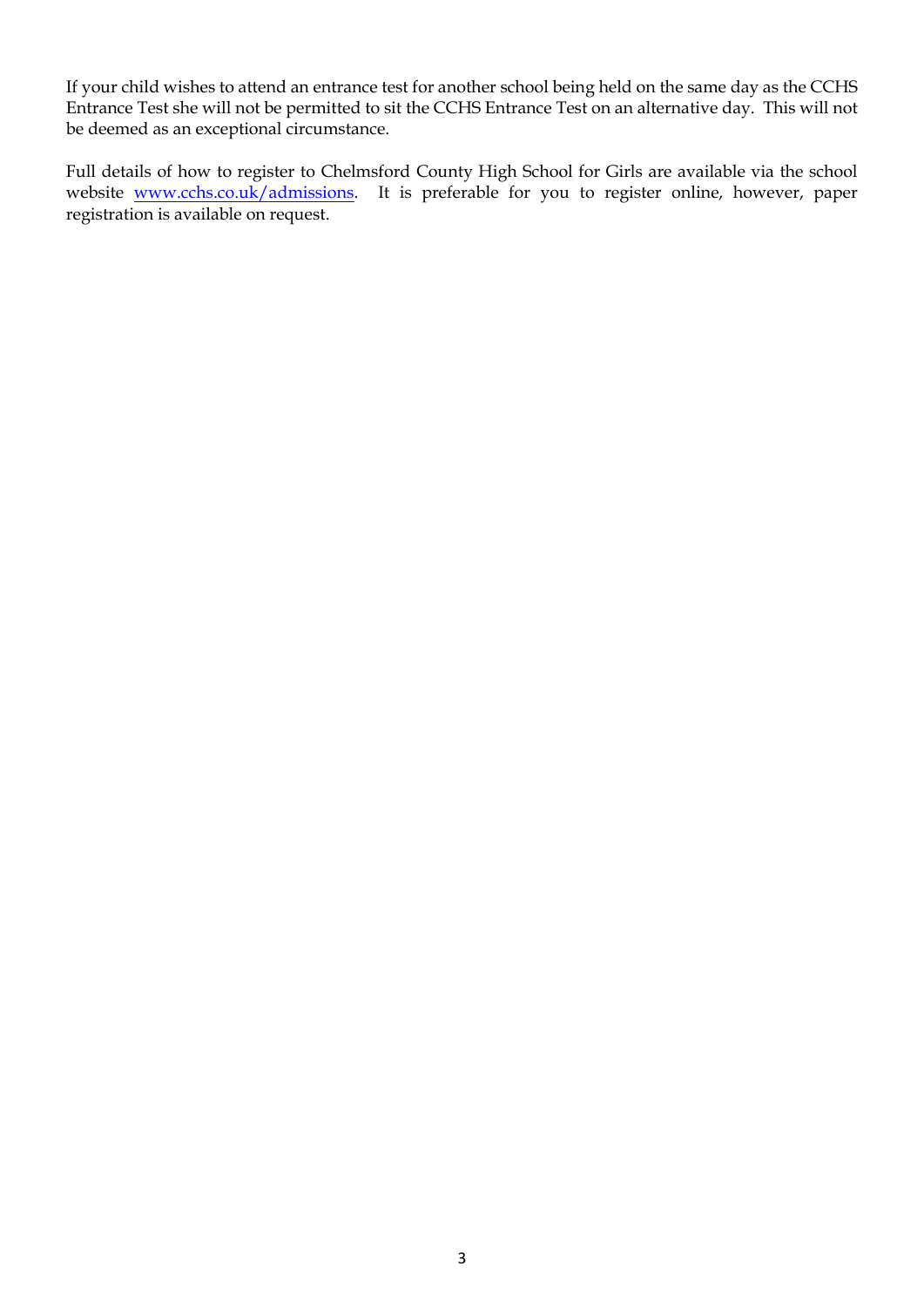If your child wishes to attend an entrance test for another school being held on the same day as the CCHS Entrance Test she will not be permitted to sit the CCHS Entrance Test on an alternative day. This will not be deemed as an exceptional circumstance.

Full details of how to register to Chelmsford County High School for Girls are available via the school website [www.cchs.co.uk/admissions.](http://www.cchs.co.uk/admissions) It is preferable for you to register online, however, paper registration is available on request.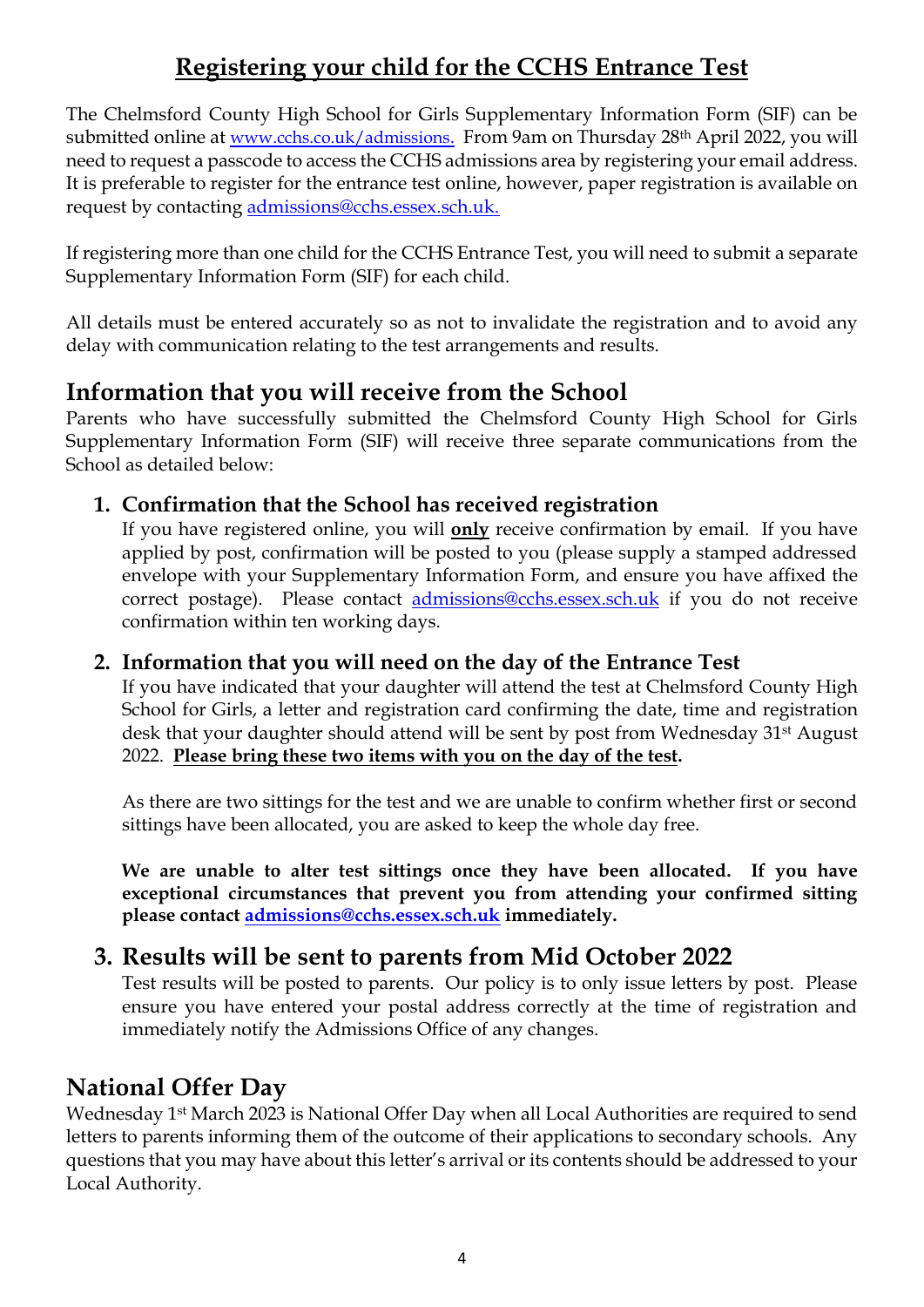# **Registering your child for the CCHS Entrance Test**

The Chelmsford County High School for Girls Supplementary Information Form (SIF) can be submitted online at [www.cchs.co.uk/admissions](http://www.cchs.co.uk/admissions). From 9am on Thursday 28<sup>th</sup> April 2022, you will need to request a passcode to access the CCHS admissions area by registering your email address. It is preferable to register for the entrance test online, however, paper registration is available on request by contacting [admissions@cchs.essex.sch.uk.](mailto:admissions@cchs.essex.sch.uk)

If registering more than one child for the CCHS Entrance Test, you will need to submit a separate Supplementary Information Form (SIF) for each child.

All details must be entered accurately so as not to invalidate the registration and to avoid any delay with communication relating to the test arrangements and results.

## **Information that you will receive from the School**

Parents who have successfully submitted the Chelmsford County High School for Girls Supplementary Information Form (SIF) will receive three separate communications from the School as detailed below:

### **1. Confirmation that the School has received registration**

If you have registered online, you will **only** receive confirmation by email. If you have applied by post, confirmation will be posted to you (please supply a stamped addressed envelope with your Supplementary Information Form, and ensure you have affixed the correct postage). Please contact [admissions@cchs.essex.sch.uk](mailto:admissions@cchs.essex.sch.uk) if you do not receive confirmation within ten working days.

#### **2. Information that you will need on the day of the Entrance Test**

If you have indicated that your daughter will attend the test at Chelmsford County High School for Girls, a letter and registration card confirming the date, time and registration desk that your daughter should attend will be sent by post from Wednesday 31st August 2022. **Please bring these two items with you on the day of the test.**

As there are two sittings for the test and we are unable to confirm whether first or second sittings have been allocated, you are asked to keep the whole day free.

**We are unable to alter test sittings once they have been allocated. If you have exceptional circumstances that prevent you from attending your confirmed sitting please contact [admissions@cchs.essex.sch.uk](mailto:admissions@cchs.essex.sch.uk) immediately.**

## **3. Results will be sent to parents from Mid October 2022**

Test results will be posted to parents. Our policy is to only issue letters by post. Please ensure you have entered your postal address correctly at the time of registration and immediately notify the Admissions Office of any changes.

## **National Offer Day**

Wednesday 1st March 2023 is National Offer Day when all Local Authorities are required to send letters to parents informing them of the outcome of their applications to secondary schools. Any questions that you may have about this letter's arrival or its contents should be addressed to your Local Authority.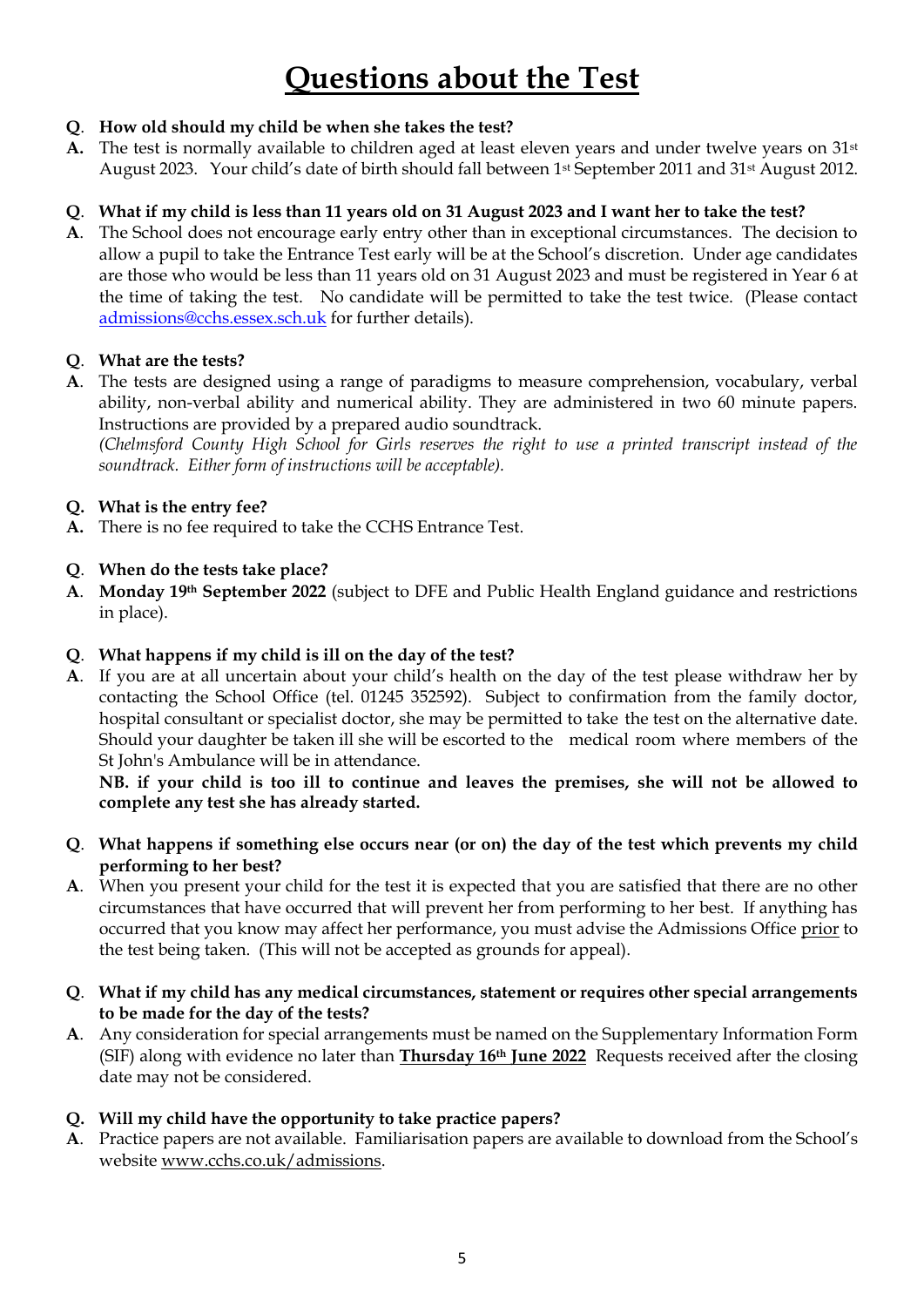# **Questions about the Test**

#### **Q**. **How old should my child be when she takes the test?**

**A.** The test is normally available to children aged at least eleven years and under twelve years on 31st August 2023. Your child's date of birth should fall between 1st September 2011 and 31st August 2012.

#### **Q**. **What if my child is less than 11 years old on 31 August 2023 and I want her to take the test?**

**A**. The School does not encourage early entry other than in exceptional circumstances. The decision to allow a pupil to take the Entrance Test early will be at the School's discretion. Under age candidates are those who would be less than 11 years old on 31 August 2023 and must be registered in Year 6 at the time of taking the test. No candidate will be permitted to take the test twice. (Please contact [admissions@cchs.essex.sch.uk](mailto:admissions@cchs.essex.sch.uk) for further details).

#### **Q**. **What are the tests?**

**A**. The tests are designed using a range of paradigms to measure comprehension, vocabulary, verbal ability, non-verbal ability and numerical ability. They are administered in two 60 minute papers. Instructions are provided by a prepared audio soundtrack.

*(Chelmsford County High School for Girls reserves the right to use a printed transcript instead of the soundtrack. Either form of instructions will be acceptable).*

#### **Q. What is the entry fee?**

**A.** There is no fee required to take the CCHS Entrance Test.

#### **Q**. **When do the tests take place?**

**A**. **Monday 19th September 2022** (subject to DFE and Public Health England guidance and restrictions in place).

#### **Q**. **What happens if my child is ill on the day of the test?**

**A**. If you are at all uncertain about your child's health on the day of the test please withdraw her by contacting the School Office (tel. 01245 352592). Subject to confirmation from the family doctor, hospital consultant or specialist doctor, she may be permitted to take the test on the alternative date. Should your daughter be taken ill she will be escorted to the medical room where members of the St John's Ambulance will be in attendance.

**NB. if your child is too ill to continue and leaves the premises, she will not be allowed to complete any test she has already started.**

- **Q**. **What happens if something else occurs near (or on) the day of the test which prevents my child performing to her best?**
- **A**. When you present your child for the test it is expected that you are satisfied that there are no other circumstances that have occurred that will prevent her from performing to her best. If anything has occurred that you know may affect her performance, you must advise the Admissions Office prior to the test being taken. (This will not be accepted as grounds for appeal).
- **Q**. **What if my child has any medical circumstances, statement or requires other special arrangements to be made for the day of the tests?**
- **A**. Any consideration for special arrangements must be named on the Supplementary Information Form (SIF) along with evidence no later than **Thursday 16th June 2022** Requests received after the closing date may not be considered.

#### **Q. Will my child have the opportunity to take practice papers?**

**A**. Practice papers are not available. Familiarisation papers are available to download from the School's website [www.cchs.co.uk/admissions.](http://www.cchs.co.uk/admissions)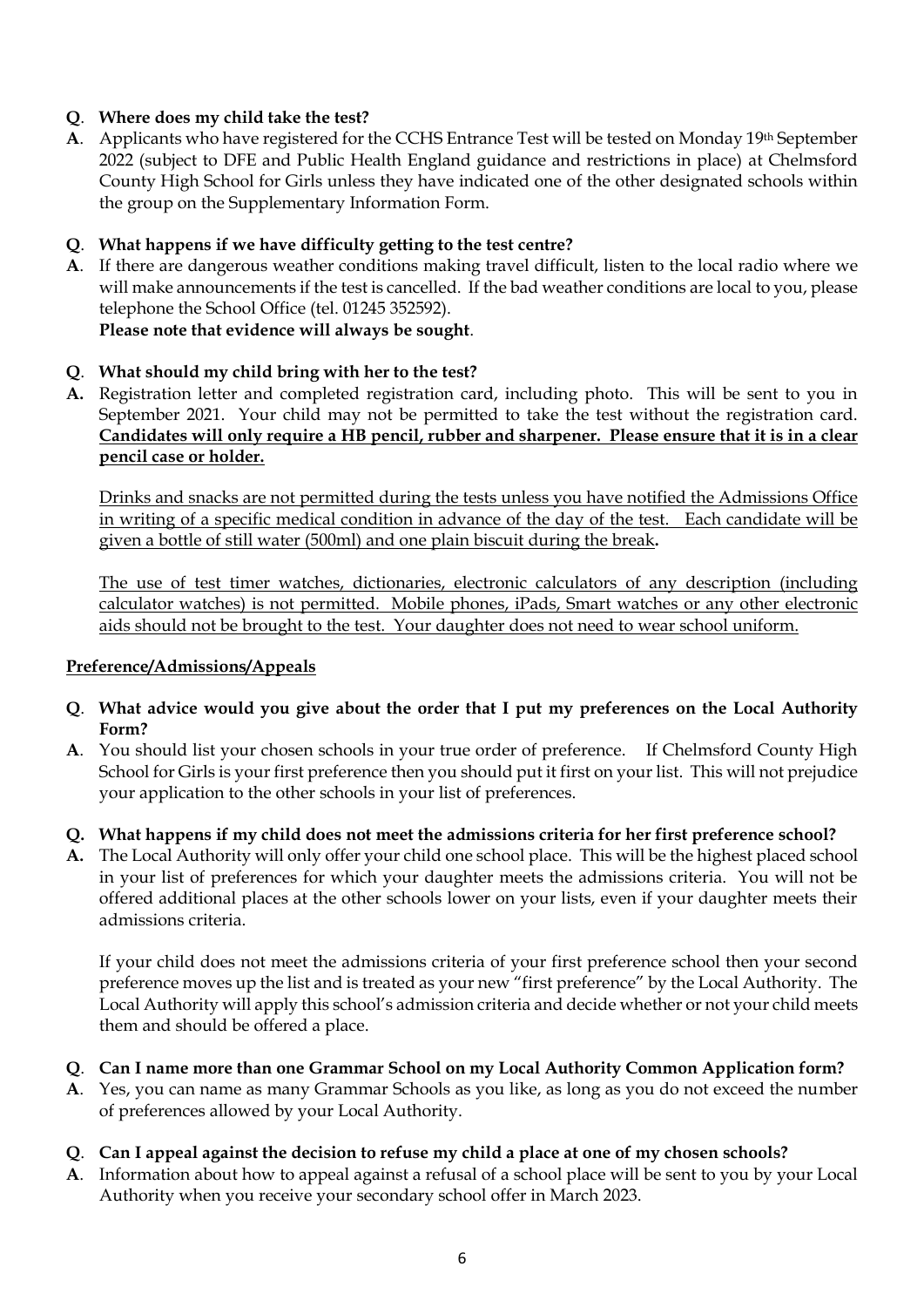#### **Q**. **Where does my child take the test?**

**A**. Applicants who have registered for the CCHS Entrance Test will be tested on Monday 19th September 2022 (subject to DFE and Public Health England guidance and restrictions in place) at Chelmsford County High School for Girls unless they have indicated one of the other designated schools within the group on the Supplementary Information Form.

#### **Q**. **What happens if we have difficulty getting to the test centre?**

**A**. If there are dangerous weather conditions making travel difficult, listen to the local radio where we will make announcements if the test is cancelled. If the bad weather conditions are local to you, please telephone the School Office (tel. 01245 352592). **Please note that evidence will always be sought**.

#### **Q**. **What should my child bring with her to the test?**

**A.** Registration letter and completed registration card, including photo. This will be sent to you in September 2021. Your child may not be permitted to take the test without the registration card. **Candidates will only require a HB pencil, rubber and sharpener. Please ensure that it is in a clear pencil case or holder.** 

Drinks and snacks are not permitted during the tests unless you have notified the Admissions Office in writing of a specific medical condition in advance of the day of the test. Each candidate will be given a bottle of still water (500ml) and one plain biscuit during the break**.**

The use of test timer watches, dictionaries, electronic calculators of any description (including calculator watches) is not permitted. Mobile phones, iPads, Smart watches or any other electronic aids should not be brought to the test. Your daughter does not need to wear school uniform.

#### **Preference/Admissions/Appeals**

- **Q**. **What advice would you give about the order that I put my preferences on the Local Authority Form?**
- **A**. You should list your chosen schools in your true order of preference. If Chelmsford County High School for Girls is your first preference then you should put it first on your list. This will not prejudice your application to the other schools in your list of preferences.

#### **Q. What happens if my child does not meet the admissions criteria for her first preference school?**

**A.** The Local Authority will only offer your child one school place. This will be the highest placed school in your list of preferences for which your daughter meets the admissions criteria. You will not be offered additional places at the other schools lower on your lists, even if your daughter meets their admissions criteria.

If your child does not meet the admissions criteria of your first preference school then your second preference moves up the list and is treated as your new "first preference" by the Local Authority. The Local Authority will apply this school's admission criteria and decide whether or not your child meets them and should be offered a place.

#### **Q**. **Can I name more than one Grammar School on my Local Authority Common Application form?**

- **A**. Yes, you can name as many Grammar Schools as you like, as long as you do not exceed the number of preferences allowed by your Local Authority.
- **Q**. **Can I appeal against the decision to refuse my child a place at one of my chosen schools?**
- **A**. Information about how to appeal against a refusal of a school place will be sent to you by your Local Authority when you receive your secondary school offer in March 2023.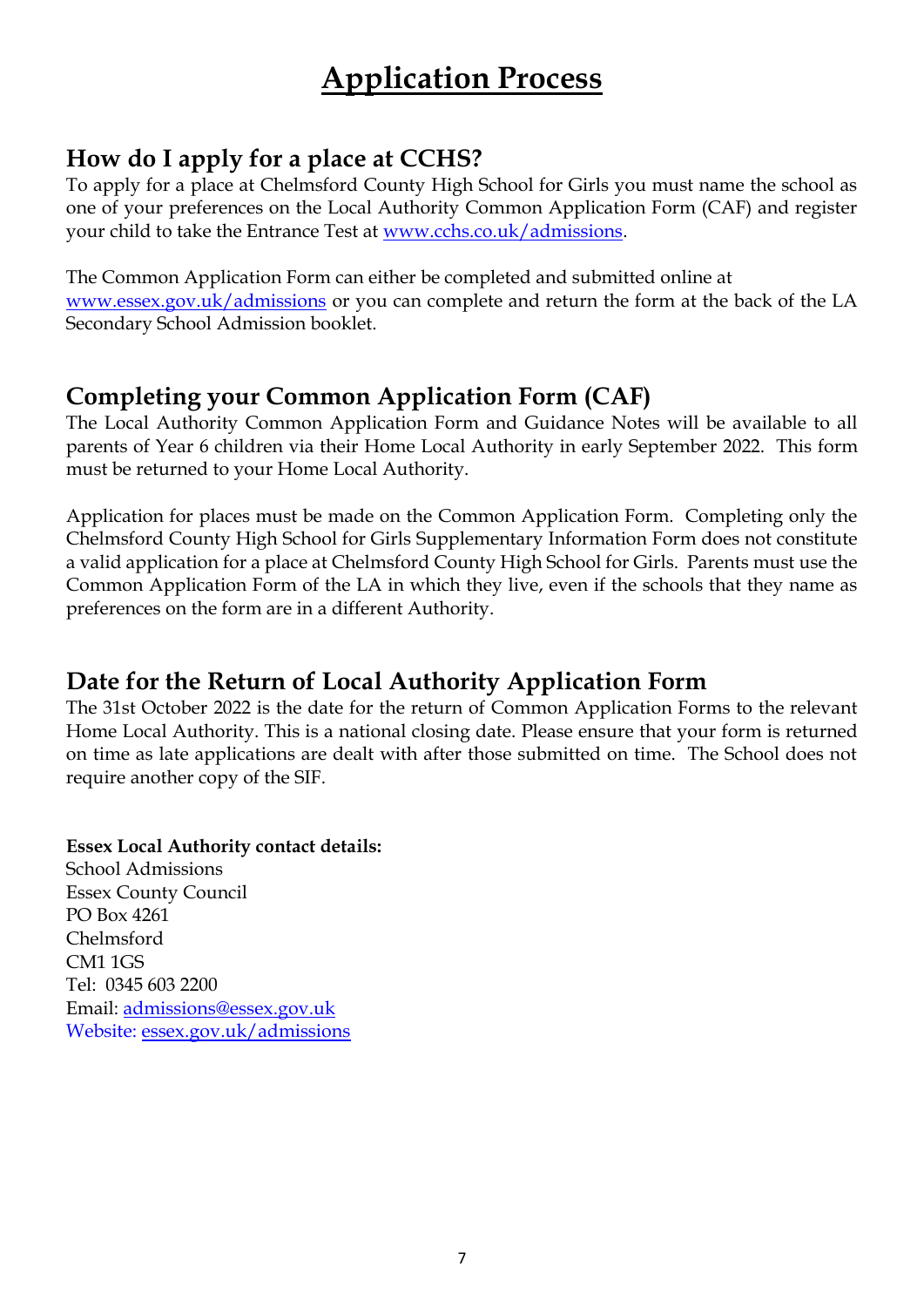# **Application Process**

## **How do I apply for a place at CCHS?**

To apply for a place at Chelmsford County High School for Girls you must name the school as one of your preferences on the Local Authority Common Application Form (CAF) and register your child to take the Entrance Test at [www.cchs.co.uk/admissions.](http://www.cchs.co.uk/admissions)

The Common Application Form can either be completed and submitted online at [www.essex.gov.uk/admissions](http://www.essex.gov.uk/admissions) or you can complete and return the form at the back of the LA Secondary School Admission booklet.

## **Completing your Common Application Form (CAF)**

The Local Authority Common Application Form and Guidance Notes will be available to all parents of Year 6 children via their Home Local Authority in early September 2022. This form must be returned to your Home Local Authority.

Application for places must be made on the Common Application Form. Completing only the Chelmsford County High School for Girls Supplementary Information Form does not constitute a valid application for a place at Chelmsford County High School for Girls. Parents must use the Common Application Form of the LA in which they live, even if the schools that they name as preferences on the form are in a different Authority.

## **Date for the Return of Local Authority Application Form**

The 31st October 2022 is the date for the return of Common Application Forms to the relevant Home Local Authority. This is a national closing date. Please ensure that your form is returned on time as late applications are dealt with after those submitted on time. The School does not require another copy of the SIF.

#### **Essex Local Authority contact details:**

School Admissions Essex County Council PO Box 4261 Chelmsford CM1 1GS Tel: 0345 603 2200 Email: [admissions@essex.gov.uk](mailto:admissions@essex.gov.uk) Website: essex.gov.uk/admissions